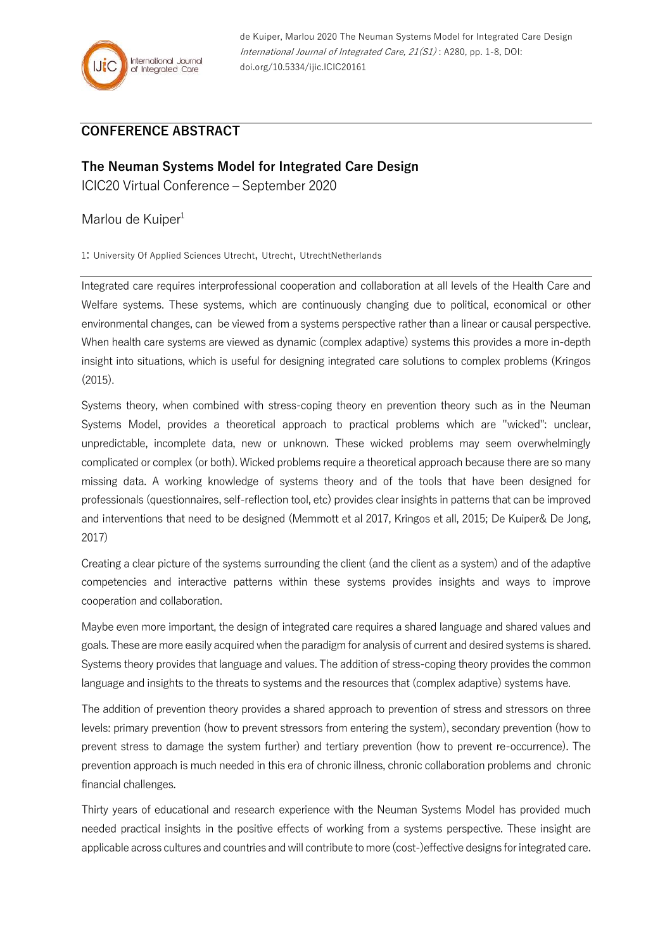

## **CONFERENCE ABSTRACT**

## **The Neuman Systems Model for Integrated Care Design**

ICIC20 Virtual Conference – September 2020

Marlou de Kuiper<sup>1</sup>

1: University Of Applied Sciences Utrecht, Utrecht, UtrechtNetherlands

Integrated care requires interprofessional cooperation and collaboration at all levels of the Health Care and Welfare systems. These systems, which are continuously changing due to political, economical or other environmental changes, can be viewed from a systems perspective rather than a linear or causal perspective. When health care systems are viewed as dynamic (complex adaptive) systems this provides a more in-depth insight into situations, which is useful for designing integrated care solutions to complex problems (Kringos (2015).

Systems theory, when combined with stress-coping theory en prevention theory such as in the Neuman Systems Model, provides a theoretical approach to practical problems which are "wicked": unclear, unpredictable, incomplete data, new or unknown. These wicked problems may seem overwhelmingly complicated or complex (or both). Wicked problems require a theoretical approach because there are so many missing data. A working knowledge of systems theory and of the tools that have been designed for professionals (questionnaires, self-reflection tool, etc) provides clear insights in patterns that can be improved and interventions that need to be designed (Memmott et al 2017, Kringos et all, 2015; De Kuiper& De Jong, 2017)

Creating a clear picture of the systems surrounding the client (and the client as a system) and of the adaptive competencies and interactive patterns within these systems provides insights and ways to improve cooperation and collaboration.

Maybe even more important, the design of integrated care requires a shared language and shared values and goals. These are more easily acquired when the paradigm for analysis of current and desired systems is shared. Systems theory provides that language and values. The addition of stress-coping theory provides the common language and insights to the threats to systems and the resources that (complex adaptive) systems have.

The addition of prevention theory provides a shared approach to prevention of stress and stressors on three levels: primary prevention (how to prevent stressors from entering the system), secondary prevention (how to prevent stress to damage the system further) and tertiary prevention (how to prevent re-occurrence). The prevention approach is much needed in this era of chronic illness, chronic collaboration problems and chronic financial challenges.

Thirty years of educational and research experience with the Neuman Systems Model has provided much needed practical insights in the positive effects of working from a systems perspective. These insight are applicable across cultures and countries and will contribute to more (cost-)effective designs for integrated care.